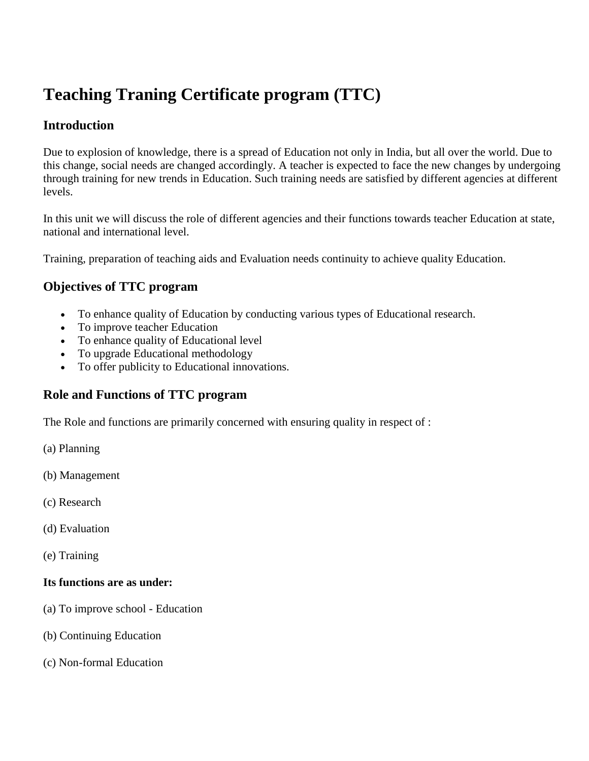# **Teaching Traning Certificate program (TTC)**

## **Introduction**

Due to explosion of knowledge, there is a spread of Education not only in India, but all over the world. Due to this change, social needs are changed accordingly. A teacher is expected to face the new changes by undergoing through training for new trends in Education. Such training needs are satisfied by different agencies at different levels.

In this unit we will discuss the role of different agencies and their functions towards teacher Education at state, national and international level.

Training, preparation of teaching aids and Evaluation needs continuity to achieve quality Education.

### **Objectives of TTC program**

- To enhance quality of Education by conducting various types of Educational research.
- To improve teacher Education
- To enhance quality of Educational level
- To upgrade Educational methodology
- To offer publicity to Educational innovations.

#### **Role and Functions of TTC program**

The Role and functions are primarily concerned with ensuring quality in respect of :

- (a) Planning
- (b) Management
- (c) Research
- (d) Evaluation
- (e) Training

#### **Its functions are as under:**

- (a) To improve school Education
- (b) Continuing Education
- (c) Non-formal Education